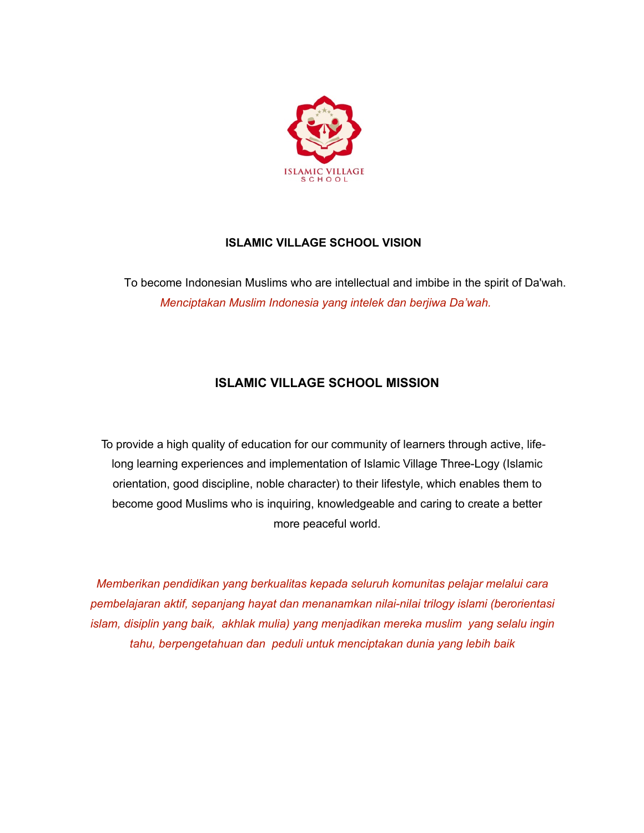

## **ISLAMIC VILLAGE SCHOOL VISION**

To become Indonesian Muslims who are intellectual and imbibe in the spirit of Da'wah. *Menciptakan Muslim Indonesia yang intelek dan berjiwa Da'wah.*

# **ISLAMIC VILLAGE SCHOOL MISSION**

To provide a high quality of education for our community of learners through active, lifelong learning experiences and implementation of Islamic Village Three-Logy (Islamic orientation, good discipline, noble character) to their lifestyle, which enables them to become good Muslims who is inquiring, knowledgeable and caring to create a better more peaceful world.

*Memberikan pendidikan yang berkualitas kepada seluruh komunitas pelajar melalui cara pembelajaran aktif, sepanjang hayat dan menanamkan nilai-nilai trilogy islami (berorientasi islam, disiplin yang baik, akhlak mulia) yang menjadikan mereka muslim yang selalu ingin tahu, berpengetahuan dan peduli untuk menciptakan dunia yang lebih baik*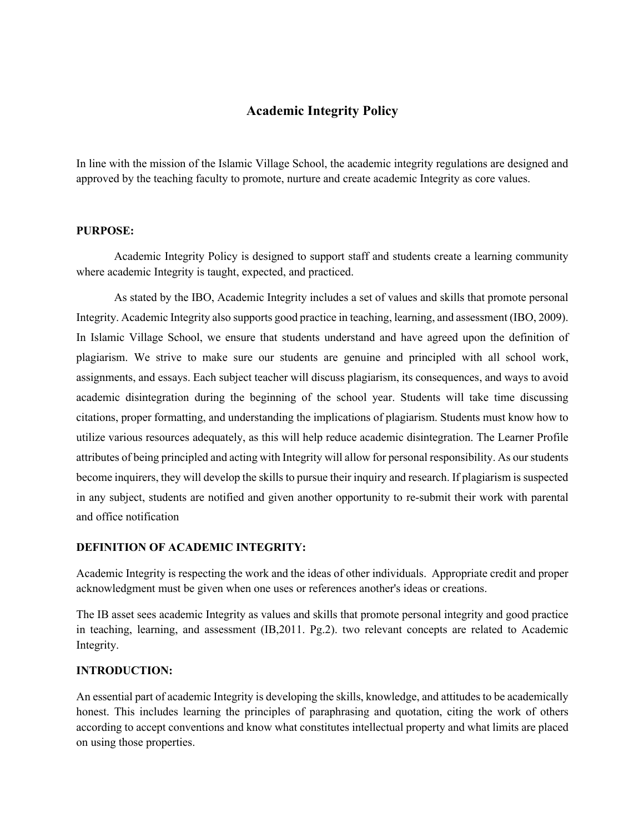### **Academic Integrity Policy**

In line with the mission of the Islamic Village School, the academic integrity regulations are designed and approved by the teaching faculty to promote, nurture and create academic Integrity as core values.

#### **PURPOSE:**

Academic Integrity Policy is designed to support staff and students create a learning community where academic Integrity is taught, expected, and practiced.

As stated by the IBO, Academic Integrity includes a set of values and skills that promote personal Integrity. Academic Integrity also supports good practice in teaching, learning, and assessment (IBO, 2009). In Islamic Village School, we ensure that students understand and have agreed upon the definition of plagiarism. We strive to make sure our students are genuine and principled with all school work, assignments, and essays. Each subject teacher will discuss plagiarism, its consequences, and ways to avoid academic disintegration during the beginning of the school year. Students will take time discussing citations, proper formatting, and understanding the implications of plagiarism. Students must know how to utilize various resources adequately, as this will help reduce academic disintegration. The Learner Profile attributes of being principled and acting with Integrity will allow for personal responsibility. As our students become inquirers, they will develop the skills to pursue their inquiry and research. If plagiarism is suspected in any subject, students are notified and given another opportunity to re-submit their work with parental and office notification

#### **DEFINITION OF ACADEMIC INTEGRITY:**

Academic Integrity is respecting the work and the ideas of other individuals. Appropriate credit and proper acknowledgment must be given when one uses or references another's ideas or creations.

The IB asset sees academic Integrity as values and skills that promote personal integrity and good practice in teaching, learning, and assessment (IB,2011. Pg.2). two relevant concepts are related to Academic Integrity.

#### **INTRODUCTION:**

An essential part of academic Integrity is developing the skills, knowledge, and attitudes to be academically honest. This includes learning the principles of paraphrasing and quotation, citing the work of others according to accept conventions and know what constitutes intellectual property and what limits are placed on using those properties.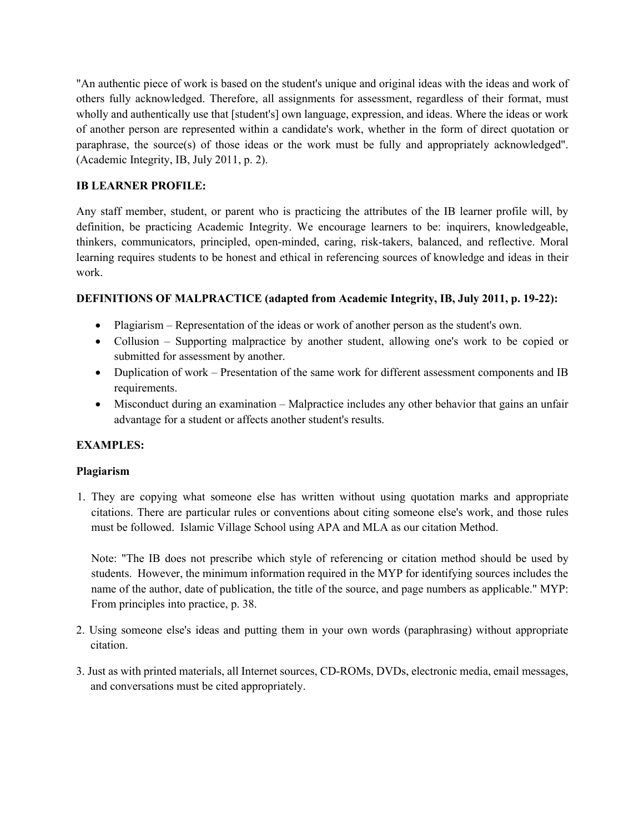"An authentic piece of work is based on the student's unique and original ideas with the ideas and work of others fully acknowledged. Therefore, all assignments for assessment, regardless of their format, must wholly and authentically use that [student's] own language, expression, and ideas. Where the ideas or work of another person are represented within a candidate's work, whether in the form of direct quotation or paraphrase, the source(s) of those ideas or the work must be fully and appropriately acknowledged". (Academic Integrity, IB, July 2011, p. 2).

## **IB LEARNER PROFILE:**

Any staff member, student, or parent who is practicing the attributes of the IB learner profile will, by definition, be practicing Academic Integrity. We encourage learners to be: inquirers, knowledgeable, thinkers, communicators, principled, open-minded, caring, risk-takers, balanced, and reflective. Moral learning requires students to be honest and ethical in referencing sources of knowledge and ideas in their work.

## **DEFINITIONS OF MALPRACTICE (adapted from Academic Integrity, IB, July 2011, p. 19-22):**

- Plagiarism Representation of the ideas or work of another person as the student's own.
- Collusion Supporting malpractice by another student, allowing one's work to be copied or submitted for assessment by another.
- Duplication of work Presentation of the same work for different assessment components and IB requirements.
- Misconduct during an examination Malpractice includes any other behavior that gains an unfair advantage for a student or affects another student's results.

## **EXAMPLES:**

### **Plagiarism**

1. They are copying what someone else has written without using quotation marks and appropriate citations. There are particular rules or conventions about citing someone else's work, and those rules must be followed. Islamic Village School using APA and MLA as our citation Method.

Note: "The IB does not prescribe which style of referencing or citation method should be used by students. However, the minimum information required in the MYP for identifying sources includes the name of the author, date of publication, the title of the source, and page numbers as applicable." MYP: From principles into practice, p. 38.

- 2. Using someone else's ideas and putting them in your own words (paraphrasing) without appropriate citation.
- 3. Just as with printed materials, all Internet sources, CD-ROMs, DVDs, electronic media, email messages, and conversations must be cited appropriately.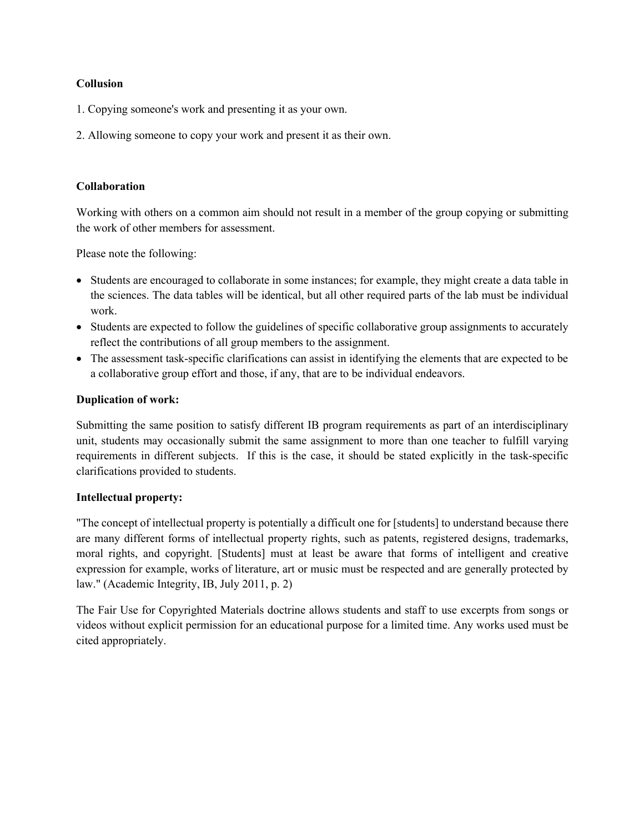### **Collusion**

- 1. Copying someone's work and presenting it as your own.
- 2. Allowing someone to copy your work and present it as their own.

#### **Collaboration**

Working with others on a common aim should not result in a member of the group copying or submitting the work of other members for assessment.

Please note the following:

- Students are encouraged to collaborate in some instances; for example, they might create a data table in the sciences. The data tables will be identical, but all other required parts of the lab must be individual work.
- Students are expected to follow the guidelines of specific collaborative group assignments to accurately reflect the contributions of all group members to the assignment.
- The assessment task-specific clarifications can assist in identifying the elements that are expected to be a collaborative group effort and those, if any, that are to be individual endeavors.

### **Duplication of work:**

Submitting the same position to satisfy different IB program requirements as part of an interdisciplinary unit, students may occasionally submit the same assignment to more than one teacher to fulfill varying requirements in different subjects. If this is the case, it should be stated explicitly in the task-specific clarifications provided to students.

#### **Intellectual property:**

"The concept of intellectual property is potentially a difficult one for [students] to understand because there are many different forms of intellectual property rights, such as patents, registered designs, trademarks, moral rights, and copyright. [Students] must at least be aware that forms of intelligent and creative expression for example, works of literature, art or music must be respected and are generally protected by law." (Academic Integrity, IB, July 2011, p. 2)

The Fair Use for Copyrighted Materials doctrine allows students and staff to use excerpts from songs or videos without explicit permission for an educational purpose for a limited time. Any works used must be cited appropriately.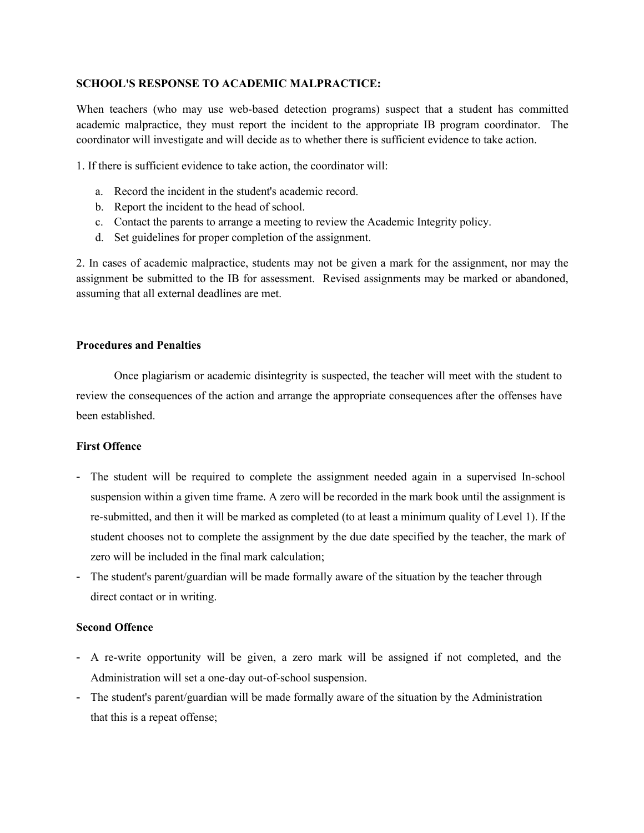#### **SCHOOL'S RESPONSE TO ACADEMIC MALPRACTICE:**

When teachers (who may use web-based detection programs) suspect that a student has committed academic malpractice, they must report the incident to the appropriate IB program coordinator. The coordinator will investigate and will decide as to whether there is sufficient evidence to take action.

1. If there is sufficient evidence to take action, the coordinator will:

- a. Record the incident in the student's academic record.
- b. Report the incident to the head of school.
- c. Contact the parents to arrange a meeting to review the Academic Integrity policy.
- d. Set guidelines for proper completion of the assignment.

2. In cases of academic malpractice, students may not be given a mark for the assignment, nor may the assignment be submitted to the IB for assessment. Revised assignments may be marked or abandoned, assuming that all external deadlines are met.

#### **Procedures and Penalties**

Once plagiarism or academic disintegrity is suspected, the teacher will meet with the student to review the consequences of the action and arrange the appropriate consequences after the offenses have been established.

#### **First Offence**

- The student will be required to complete the assignment needed again in a supervised In-school suspension within a given time frame. A zero will be recorded in the mark book until the assignment is re-submitted, and then it will be marked as completed (to at least a minimum quality of Level 1). If the student chooses not to complete the assignment by the due date specified by the teacher, the mark of zero will be included in the final mark calculation;
- The student's parent/guardian will be made formally aware of the situation by the teacher through direct contact or in writing.

### **Second Offence**

- A re-write opportunity will be given, a zero mark will be assigned if not completed, and the Administration will set a one-day out-of-school suspension.
- The student's parent/guardian will be made formally aware of the situation by the Administration that this is a repeat offense;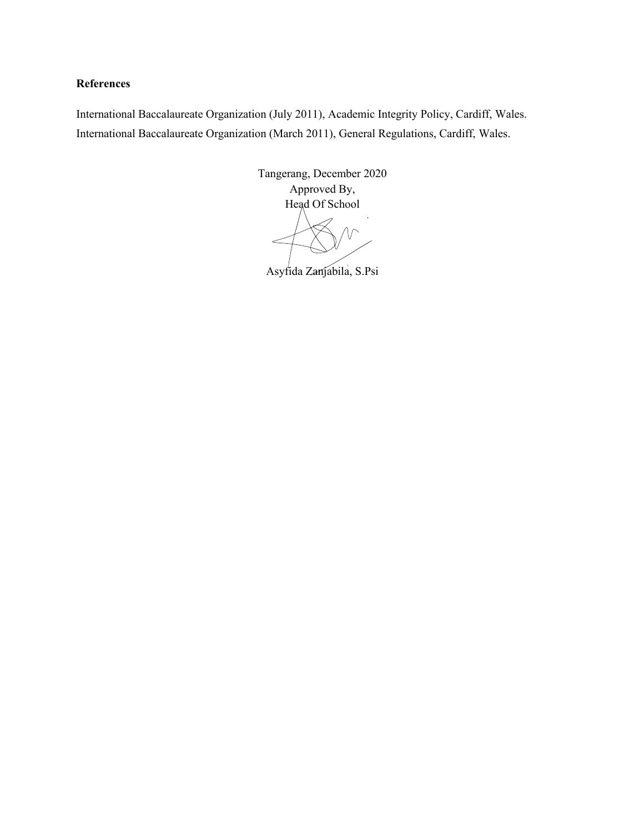### **References**

International Baccalaureate Organization (July 2011), Academic Integrity Policy, Cardiff, Wales. International Baccalaureate Organization (March 2011), General Regulations, Cardiff, Wales.

> Tangerang, December 2020 Approved By, Head Of School

Asyfida Zanjabila, S.Psi